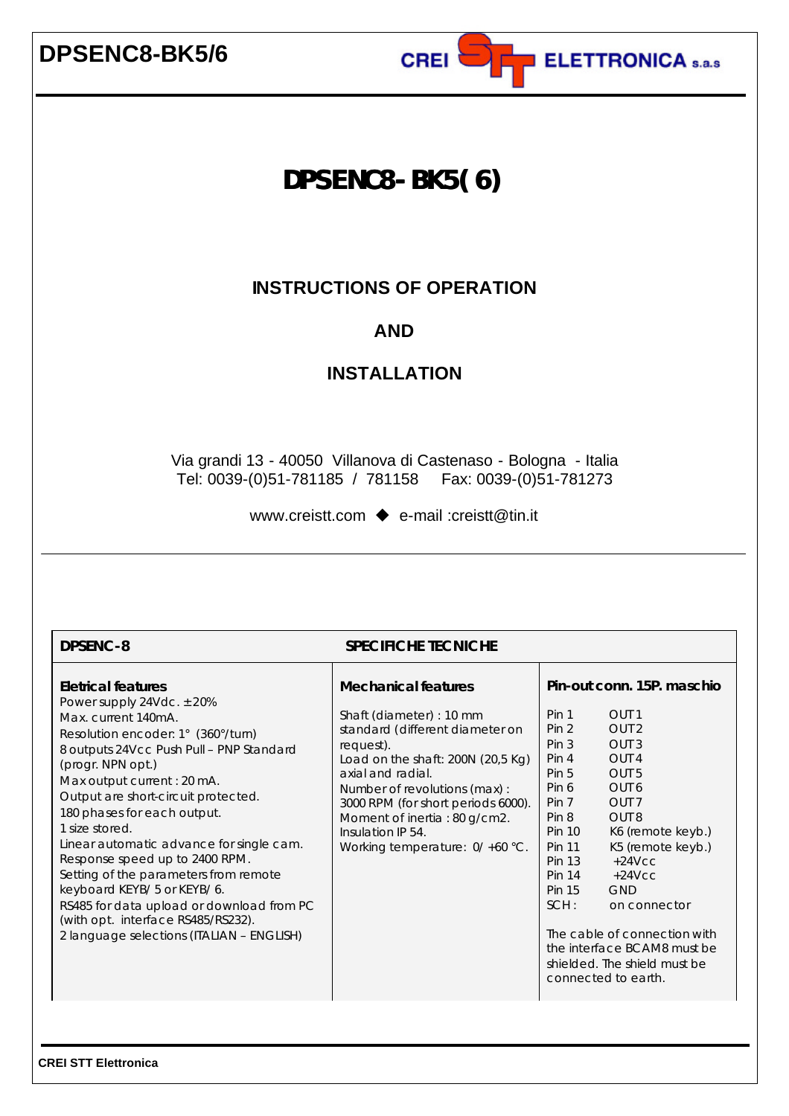

# **DPSENC8-BK5(6)**

## **INSTRUCTIONS OF OPERATION**

## **AND**

## **INSTALLATION**

Via grandi 13 - 40050 Villanova di Castenaso - Bologna - Italia Tel: 0039-(0)51-781185 / 781158 Fax: 0039-(0)51-781273

www.creistt.com  $\bullet$  e-mail :creistt@tin.it

| <b>DPSENC-8</b><br><b>SPECIFICHE TECNICHE</b>                                                                                                                                                                                                                                                                                                                                                                                                                                                                                                                                                          |                                                                                                                                                                                                                                                                                                                                    |                                                                                                                                                                                                                                                                                                                                                                                                                                                                                                                                                                                                                          |  |  |  |  |  |
|--------------------------------------------------------------------------------------------------------------------------------------------------------------------------------------------------------------------------------------------------------------------------------------------------------------------------------------------------------------------------------------------------------------------------------------------------------------------------------------------------------------------------------------------------------------------------------------------------------|------------------------------------------------------------------------------------------------------------------------------------------------------------------------------------------------------------------------------------------------------------------------------------------------------------------------------------|--------------------------------------------------------------------------------------------------------------------------------------------------------------------------------------------------------------------------------------------------------------------------------------------------------------------------------------------------------------------------------------------------------------------------------------------------------------------------------------------------------------------------------------------------------------------------------------------------------------------------|--|--|--|--|--|
| <b>Eletrical features</b><br>Power supply $24Vdc. \pm 20%$<br>Max. current 140mA.<br>Resolution encoder: 1° (360°/turn)<br>8 outputs 24Vcc Push Pull - PNP Standard<br>(progr. NPN opt.)<br>Max output current : 20 mA.<br>Output are short-circuit protected.<br>180 phases for each output.<br>1 size stored.<br>Linear automatic advance for single cam.<br>Response speed up to 2400 RPM.<br>Setting of the parameters from remote<br>keyboard KEYB/ 5 or KEYB/ 6.<br>RS485 for data upload or download from PC<br>(with opt. interface RS485/RS232).<br>2 language selections (ITALIAN - ENGLISH) | <b>Mechanical features</b><br>Shaft (diameter) : 10 mm<br>standard (different diameter on<br>request).<br>Load on the shaft: $200N$ ( $20,5$ Kg)<br>axial and radial.<br>Number of revolutions (max):<br>3000 RPM (for short periods 6000).<br>Moment of inertia: 80 g/cm2.<br>Insulation IP 54.<br>Working temperature: 0/+60 °C. | Pin-out conn. 15P. maschio<br>Pin 1<br>OUT <sub>1</sub><br>Pin <sub>2</sub><br>OUT <sub>2</sub><br>Pin <sub>3</sub><br>OUT <sub>3</sub><br>Pin 4<br>OUT <sub>4</sub><br>Pin <sub>5</sub><br>OUT <sub>5</sub><br>Pin 6<br>OUT <sub>6</sub><br>OUT <sub>7</sub><br>Pin 7<br>Pin 8<br>OUT <sub>8</sub><br>K6 (remote keyb.)<br><b>Pin 10</b><br>K5 (remote keyb.)<br><b>Pin 11</b><br><b>Pin 13</b><br>$+24$ Vcc<br>$+24$ VCC<br><b>Pin 14</b><br><b>Pin 15</b><br><b>GND</b><br>SCH:<br>on connector<br>The cable of connection with<br>the interface BCAM8 must be<br>shielded. The shield must be<br>connected to earth. |  |  |  |  |  |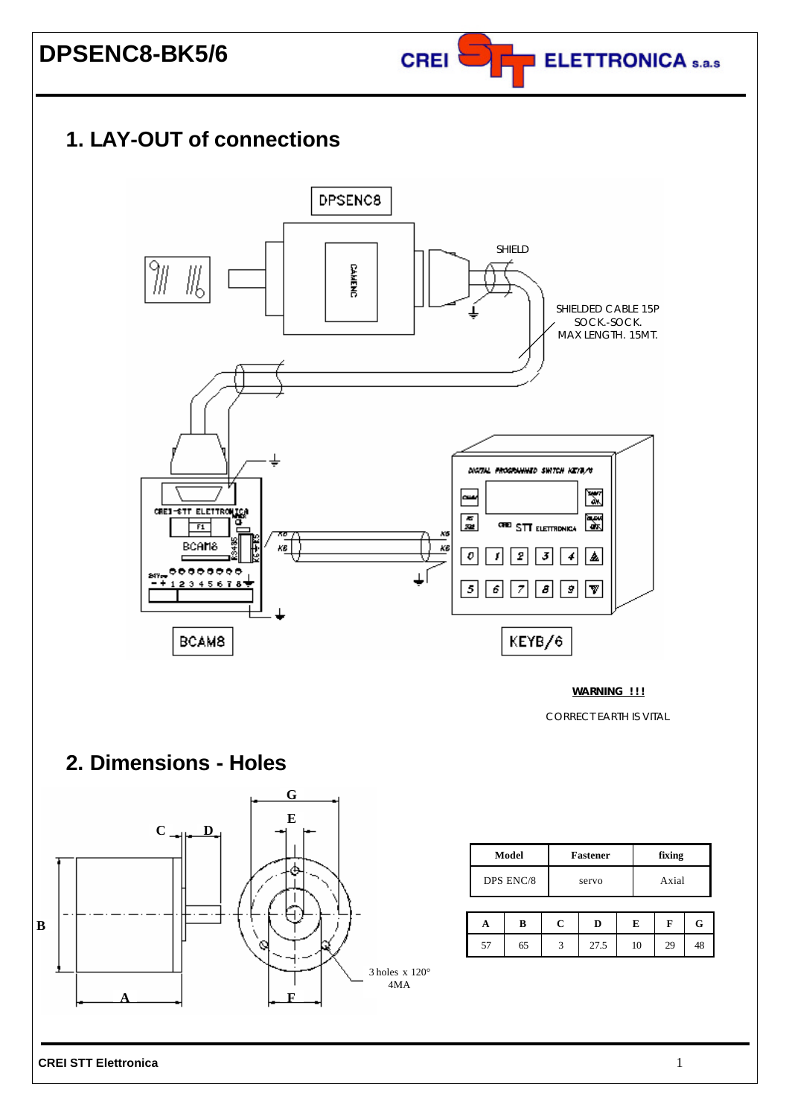

# **1. LAY-OUT of connections**



**WARNING ! ! !**

CORRECT EARTH IS VITAL

## **2. Dimensions - Holes**



| Model     | <b>Fastener</b> | fixing |  |
|-----------|-----------------|--------|--|
| DPS ENC/8 | servo           | Axial  |  |

|           |    | D    | E  | F  |  |
|-----------|----|------|----|----|--|
| 57<br>ا ب | 65 | 27.5 | 10 | 29 |  |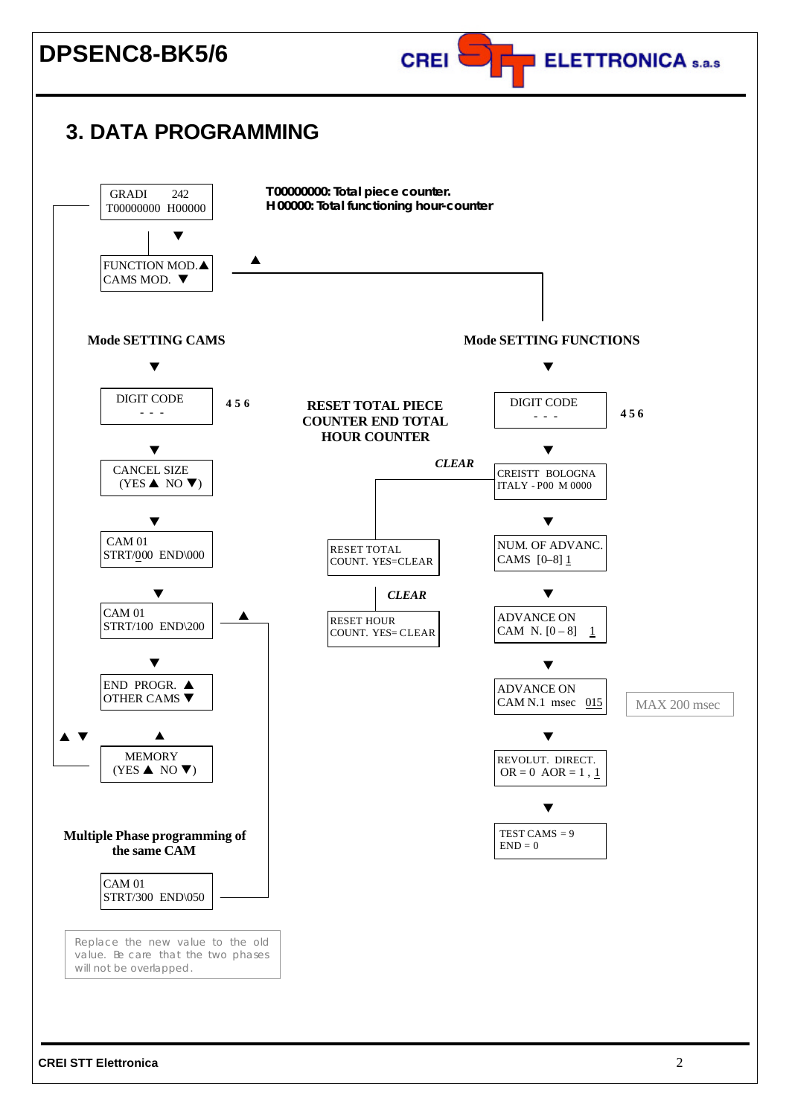

## **3. DATA PROGRAMMING**